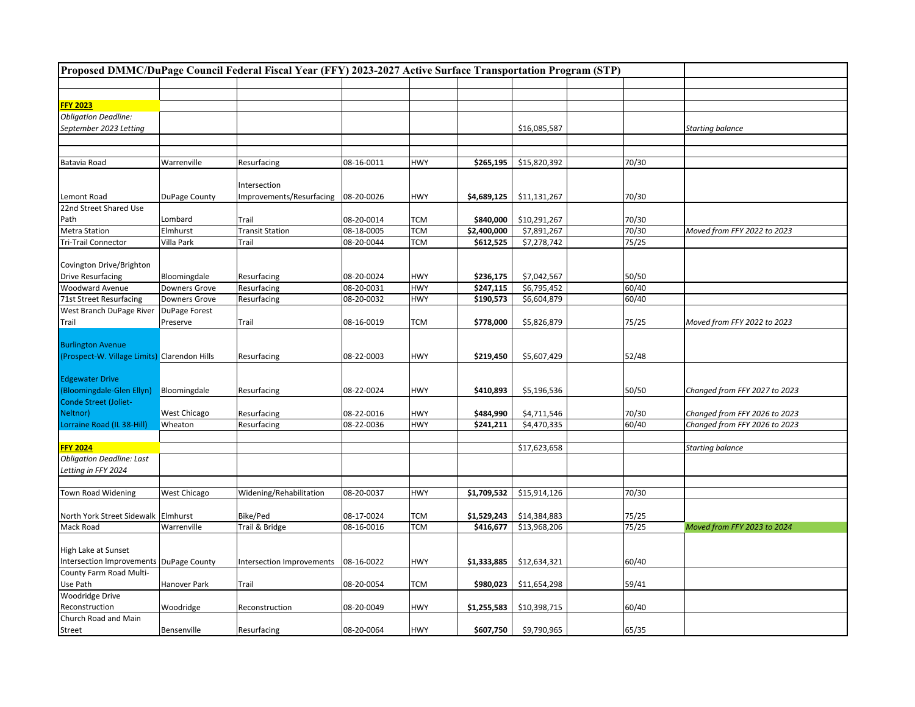|                                              | Proposed DMMC/DuPage Council Federal Fiscal Year (FFY) 2023-2027 Active Surface Transportation Program (STP) |                           |            |            |             |              |       |                               |
|----------------------------------------------|--------------------------------------------------------------------------------------------------------------|---------------------------|------------|------------|-------------|--------------|-------|-------------------------------|
|                                              |                                                                                                              |                           |            |            |             |              |       |                               |
|                                              |                                                                                                              |                           |            |            |             |              |       |                               |
| <b>FFY 2023</b>                              |                                                                                                              |                           |            |            |             |              |       |                               |
| <b>Obligation Deadline:</b>                  |                                                                                                              |                           |            |            |             |              |       |                               |
| September 2023 Letting                       |                                                                                                              |                           |            |            |             | \$16,085,587 |       | <b>Starting balance</b>       |
|                                              |                                                                                                              |                           |            |            |             |              |       |                               |
|                                              |                                                                                                              |                           |            |            |             |              |       |                               |
| Batavia Road                                 | Warrenville                                                                                                  | Resurfacing               | 08-16-0011 | <b>HWY</b> | \$265,195   | \$15,820,392 | 70/30 |                               |
|                                              |                                                                                                              |                           |            |            |             |              |       |                               |
|                                              |                                                                                                              | Intersection              |            |            |             |              |       |                               |
| Lemont Road                                  | DuPage County                                                                                                | Improvements/Resurfacing  | 08-20-0026 | <b>HWY</b> | \$4,689,125 | \$11,131,267 | 70/30 |                               |
| 22nd Street Shared Use                       |                                                                                                              |                           |            |            |             |              |       |                               |
| Path                                         | Lombard                                                                                                      | Trail                     | 08-20-0014 | <b>TCM</b> | \$840,000   | \$10,291,267 | 70/30 |                               |
| <b>Metra Station</b>                         | Elmhurst                                                                                                     | <b>Transit Station</b>    | 08-18-0005 | <b>TCM</b> | \$2,400,000 | \$7,891,267  | 70/30 | Moved from FFY 2022 to 2023   |
| <b>Tri-Trail Connector</b>                   | Villa Park                                                                                                   | Trail                     | 08-20-0044 | <b>TCM</b> | \$612,525   | \$7,278,742  | 75/25 |                               |
|                                              |                                                                                                              |                           |            |            |             |              |       |                               |
| Covington Drive/Brighton                     |                                                                                                              |                           |            |            |             |              |       |                               |
| <b>Drive Resurfacing</b>                     | Bloomingdale                                                                                                 | Resurfacing               | 08-20-0024 | <b>HWY</b> | \$236,175   | \$7,042,567  | 50/50 |                               |
| <b>Woodward Avenue</b>                       | Downers Grove                                                                                                | Resurfacing               | 08-20-0031 | <b>HWY</b> | \$247,115   | \$6,795,452  | 60/40 |                               |
| 71st Street Resurfacing                      | Downers Grove                                                                                                | Resurfacing               | 08-20-0032 | <b>HWY</b> | \$190,573   | \$6,604,879  | 60/40 |                               |
| West Branch DuPage River                     | DuPage Forest                                                                                                |                           |            |            |             |              |       |                               |
| Trail                                        | Preserve                                                                                                     | Trail                     | 08-16-0019 | <b>TCM</b> | \$778,000   | \$5,826,879  | 75/25 | Moved from FFY 2022 to 2023   |
|                                              |                                                                                                              |                           |            |            |             |              |       |                               |
| <b>Burlington Avenue</b>                     |                                                                                                              |                           |            |            |             |              |       |                               |
| (Prospect-W. Village Limits) Clarendon Hills |                                                                                                              | Resurfacing               | 08-22-0003 | <b>HWY</b> | \$219,450   | \$5,607,429  | 52/48 |                               |
|                                              |                                                                                                              |                           |            |            |             |              |       |                               |
| <b>Edgewater Drive</b>                       |                                                                                                              |                           |            |            |             |              |       |                               |
| (Bloomingdale-Glen Ellyn)                    | Bloomingdale                                                                                                 | Resurfacing               | 08-22-0024 | <b>HWY</b> | \$410,893   | \$5,196,536  | 50/50 | Changed from FFY 2027 to 2023 |
| Conde Street (Joliet-                        |                                                                                                              |                           |            |            |             |              |       |                               |
| Neltnor)                                     | West Chicago                                                                                                 | Resurfacing               | 08-22-0016 | <b>HWY</b> | \$484,990   | \$4,711,546  | 70/30 | Changed from FFY 2026 to 2023 |
| Lorraine Road (IL 38-Hill)                   | Wheaton                                                                                                      | Resurfacing               | 08-22-0036 | <b>HWY</b> | \$241,211   | \$4,470,335  | 60/40 | Changed from FFY 2026 to 2023 |
|                                              |                                                                                                              |                           |            |            |             |              |       |                               |
| <b>FFY 2024</b>                              |                                                                                                              |                           |            |            |             | \$17,623,658 |       | <b>Starting balance</b>       |
| <b>Obligation Deadline: Last</b>             |                                                                                                              |                           |            |            |             |              |       |                               |
| Letting in FFY 2024                          |                                                                                                              |                           |            |            |             |              |       |                               |
|                                              |                                                                                                              |                           |            |            |             |              |       |                               |
| Town Road Widening                           | West Chicago                                                                                                 | Widening/Rehabilitation   | 08-20-0037 | <b>HWY</b> | \$1,709,532 | \$15,914,126 | 70/30 |                               |
|                                              |                                                                                                              |                           |            |            |             |              |       |                               |
| North York Street Sidewalk Elmhurst          |                                                                                                              | Bike/Ped                  | 08-17-0024 | <b>TCM</b> | \$1,529,243 | \$14,384,883 | 75/25 |                               |
| Mack Road                                    | Warrenville                                                                                                  | Trail & Bridge            | 08-16-0016 | <b>TCM</b> | \$416,677   | \$13,968,206 | 75/25 | Moved from FFY 2023 to 2024   |
|                                              |                                                                                                              |                           |            |            |             |              |       |                               |
| High Lake at Sunset                          |                                                                                                              |                           |            |            |             |              |       |                               |
| Intersection Improvements DuPage County      |                                                                                                              | Intersection Improvements | 08-16-0022 | <b>HWY</b> | \$1,333,885 | \$12,634,321 | 60/40 |                               |
| County Farm Road Multi-                      |                                                                                                              |                           |            |            |             |              |       |                               |
| Use Path                                     | Hanover Park                                                                                                 | Trail                     | 08-20-0054 | <b>TCM</b> | \$980,023   | \$11,654,298 | 59/41 |                               |
| <b>Woodridge Drive</b>                       |                                                                                                              |                           |            |            |             |              |       |                               |
| Reconstruction                               | Woodridge                                                                                                    | Reconstruction            | 08-20-0049 | <b>HWY</b> | \$1,255,583 | \$10,398,715 | 60/40 |                               |
| Church Road and Main                         |                                                                                                              |                           |            |            |             |              |       |                               |
| Street                                       | Bensenville                                                                                                  | Resurfacing               | 08-20-0064 | <b>HWY</b> | \$607,750   | \$9,790,965  | 65/35 |                               |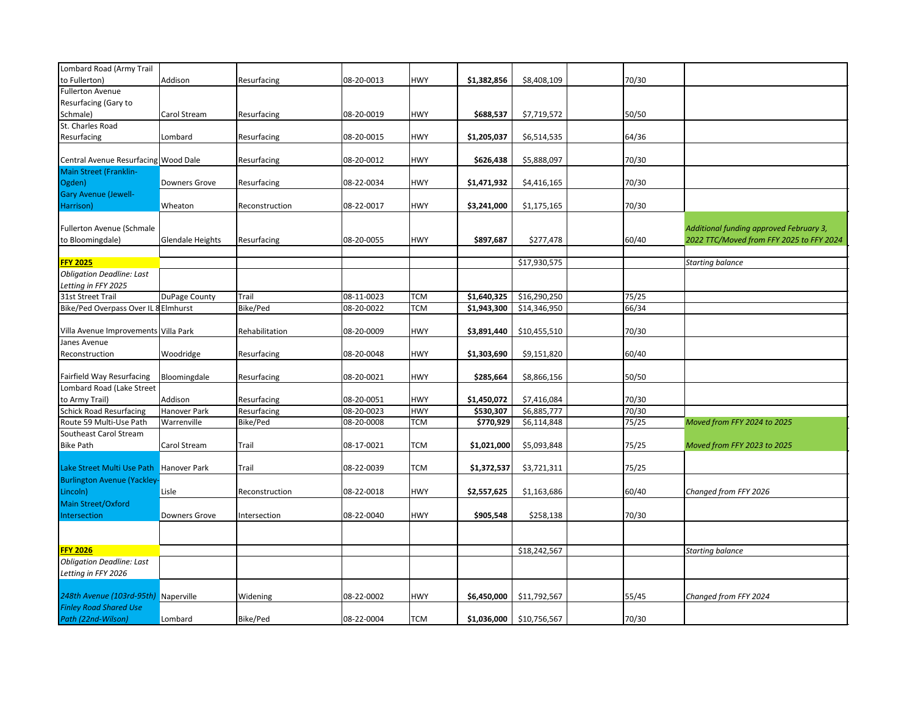| Lombard Road (Army Trail             |                         |                 |            |            |             |              |       |                                          |
|--------------------------------------|-------------------------|-----------------|------------|------------|-------------|--------------|-------|------------------------------------------|
| to Fullerton)                        | Addison                 | Resurfacing     | 08-20-0013 | <b>HWY</b> | \$1,382,856 | \$8,408,109  | 70/30 |                                          |
| <b>Fullerton Avenue</b>              |                         |                 |            |            |             |              |       |                                          |
| Resurfacing (Gary to                 |                         |                 |            |            |             |              |       |                                          |
| Schmale)                             | Carol Stream            | Resurfacing     | 08-20-0019 | <b>HWY</b> | \$688,537   | \$7,719,572  | 50/50 |                                          |
| St. Charles Road                     |                         |                 |            |            |             |              |       |                                          |
| Resurfacing                          | Lombard                 | Resurfacing     | 08-20-0015 | <b>HWY</b> | \$1,205,037 | \$6,514,535  | 64/36 |                                          |
|                                      |                         |                 |            |            |             |              |       |                                          |
| Central Avenue Resurfacing Wood Dale |                         | Resurfacing     | 08-20-0012 | <b>HWY</b> | \$626,438   | \$5,888,097  | 70/30 |                                          |
| Main Street (Franklin-               |                         |                 |            |            |             |              |       |                                          |
| Ogden)                               | <b>Downers Grove</b>    | Resurfacing     | 08-22-0034 | <b>HWY</b> | \$1,471,932 | \$4,416,165  | 70/30 |                                          |
| <b>Gary Avenue (Jewell-</b>          |                         |                 |            |            |             |              |       |                                          |
| Harrison)                            | Wheaton                 | Reconstruction  | 08-22-0017 | <b>HWY</b> | \$3,241,000 | \$1,175,165  | 70/30 |                                          |
|                                      |                         |                 |            |            |             |              |       |                                          |
| Fullerton Avenue (Schmale            |                         |                 |            |            |             |              |       | Additional funding approved February 3,  |
| to Bloomingdale)                     | <b>Glendale Heights</b> | Resurfacing     | 08-20-0055 | <b>HWY</b> | \$897,687   | \$277,478    | 60/40 | 2022 TTC/Moved from FFY 2025 to FFY 2024 |
|                                      |                         |                 |            |            |             |              |       |                                          |
| <b>FFY 2025</b>                      |                         |                 |            |            |             | \$17,930,575 |       | <b>Starting balance</b>                  |
| <b>Obligation Deadline: Last</b>     |                         |                 |            |            |             |              |       |                                          |
| Letting in FFY 2025                  |                         |                 |            |            |             |              |       |                                          |
| 31st Street Trail                    | DuPage County           | Trail           | 08-11-0023 | <b>TCM</b> | \$1,640,325 | \$16,290,250 | 75/25 |                                          |
| Bike/Ped Overpass Over IL 8 Elmhurst |                         | <b>Bike/Ped</b> | 08-20-0022 | <b>TCM</b> | \$1,943,300 | \$14,346,950 | 66/34 |                                          |
|                                      |                         |                 |            |            |             |              |       |                                          |
| Villa Avenue Improvements Villa Park |                         | Rehabilitation  | 08-20-0009 | <b>HWY</b> | \$3,891,440 | \$10,455,510 | 70/30 |                                          |
| Janes Avenue                         |                         |                 |            |            |             |              |       |                                          |
| Reconstruction                       | Woodridge               | Resurfacing     | 08-20-0048 | <b>HWY</b> | \$1,303,690 | \$9,151,820  | 60/40 |                                          |
|                                      |                         |                 |            |            |             |              |       |                                          |
| Fairfield Way Resurfacing            | Bloomingdale            | Resurfacing     | 08-20-0021 | <b>HWY</b> | \$285,664   | \$8,866,156  | 50/50 |                                          |
| Lombard Road (Lake Street            |                         |                 |            |            |             |              |       |                                          |
| to Army Trail)                       | Addison                 | Resurfacing     | 08-20-0051 | <b>HWY</b> | \$1,450,072 | \$7,416,084  | 70/30 |                                          |
| <b>Schick Road Resurfacing</b>       | Hanover Park            | Resurfacing     | 08-20-0023 | <b>HWY</b> | \$530,307   | \$6,885,777  | 70/30 |                                          |
| Route 59 Multi-Use Path              | Warrenville             | Bike/Ped        | 08-20-0008 | <b>TCM</b> | \$770,929   | \$6,114,848  | 75/25 | Moved from FFY 2024 to 2025              |
| Southeast Carol Stream               |                         |                 |            |            |             |              |       |                                          |
| <b>Bike Path</b>                     | Carol Stream            | Trail           | 08-17-0021 | <b>TCM</b> | \$1,021,000 | \$5,093,848  | 75/25 | Moved from FFY 2023 to 2025              |
|                                      |                         |                 |            |            |             |              |       |                                          |
| Lake Street Multi Use Path           | <b>Hanover Park</b>     | Trail           | 08-22-0039 | <b>TCM</b> | \$1,372,537 | \$3,721,311  | 75/25 |                                          |
| <b>Burlington Avenue (Yackley-</b>   |                         |                 |            |            |             |              |       |                                          |
| Lincoln)                             | Lisle                   | Reconstruction  | 08-22-0018 | <b>HWY</b> | \$2,557,625 | \$1,163,686  | 60/40 | Changed from FFY 2026                    |
| <b>Main Street/Oxford</b>            |                         |                 |            |            |             |              |       |                                          |
| Intersection                         | Downers Grove           | Intersection    | 08-22-0040 | <b>HWY</b> | \$905,548   | \$258,138    | 70/30 |                                          |
|                                      |                         |                 |            |            |             |              |       |                                          |
|                                      |                         |                 |            |            |             |              |       |                                          |
| <b>FFY 2026</b>                      |                         |                 |            |            |             | \$18,242,567 |       | <b>Starting balance</b>                  |
| <b>Obligation Deadline: Last</b>     |                         |                 |            |            |             |              |       |                                          |
| Letting in FFY 2026                  |                         |                 |            |            |             |              |       |                                          |
|                                      |                         |                 |            |            |             |              |       |                                          |
| 248th Avenue (103rd-95th) Naperville |                         | Widening        | 08-22-0002 | <b>HWY</b> | \$6,450,000 | \$11,792,567 | 55/45 | Changed from FFY 2024                    |
| <b>Finley Road Shared Use</b>        |                         |                 |            |            |             |              |       |                                          |
| Path (22nd-Wilson)                   | Lombard                 | Bike/Ped        | 08-22-0004 | <b>TCM</b> | \$1,036,000 | \$10,756,567 | 70/30 |                                          |